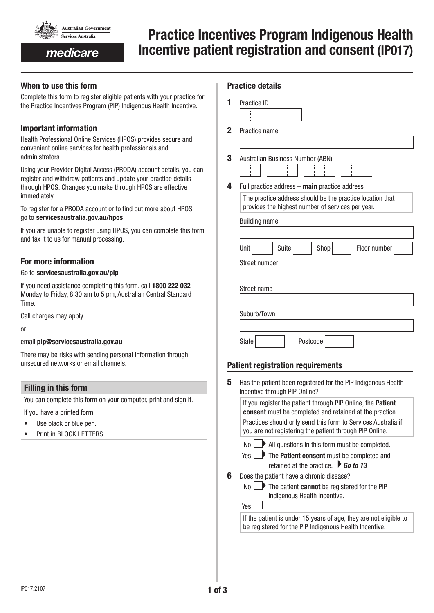

## medicare

# Practice Incentives Program Indigenous Health Incentive patient registration and consent (IP017)

Practice details

## When to use this form

Complete this form to register eligible patients with your practice for the Practice Incentives Program (PIP) Indigenous Health Incentive.

## Important information

Health Professional Online Services (HPOS) provides secure and convenient online services for health professionals and administrators.

Using your Provider Digital Access (PRODA) account details, you can register and withdraw patients and update your practice details through HPOS. Changes you make through HPOS are effective immediately.

To register for a PRODA account or to find out more about HPOS, go to servicesaustralia.gov.au/hpos

If you are unable to register using HPOS, you can complete this form and fax it to us for manual processing.

## For more information

#### Go to servicesaustralia.gov.au/pip

If you need assistance completing this form, call 1800 222 032 Monday to Friday, 8.30 am to 5 pm, Australian Central Standard Time.

Call charges may apply.

or

#### email pip@servicesaustralia.gov.au

There may be risks with sending personal information through unsecured networks or email channels.

#### Filling in this form

You can complete this form on your computer, print and sign it.

If you have a printed form:

- Use black or blue pen.
- Print in BLOCK LETTERS.

|   | Practice ID                                               |  |  |
|---|-----------------------------------------------------------|--|--|
|   |                                                           |  |  |
| 2 | Practice name                                             |  |  |
|   |                                                           |  |  |
|   |                                                           |  |  |
| 3 | Australian Business Number (ABN)                          |  |  |
|   |                                                           |  |  |
| 4 | Full practice address - main practice address             |  |  |
|   | The practice address should be the practice location that |  |  |
|   | provides the highest number of services per year.         |  |  |
|   |                                                           |  |  |
|   | <b>Building name</b>                                      |  |  |
|   |                                                           |  |  |
|   |                                                           |  |  |
|   | Unit<br>Suite<br>Shop<br>Floor number                     |  |  |
|   | Street number                                             |  |  |
|   |                                                           |  |  |
|   |                                                           |  |  |
|   | Street name                                               |  |  |
|   |                                                           |  |  |
|   |                                                           |  |  |

State Postcode

Suburb/Town

## Patient registration requirements

5 Has the patient been registered for the PIP Indigenous Health Incentive through PIP Online? If you register the patient through PIP Online, the Patient consent must be completed and retained at the practice. Practices should only send this form to Services Australia if you are not registering the patient through PIP Online.  $N<sub>0</sub>$  All questions in this form must be completed. Yes **The Patient consent** must be completed and retained at the practice.  $\triangleright$  **Go to 13 6** Does the patient have a chronic disease?  $\mathsf{No} \longrightarrow \mathsf{The}$  patient **cannot** be registered for the PIP Indigenous Health Incentive. Yes If the patient is under 15 years of age, they are not eligible to be registered for the PIP Indigenous Health Incentive.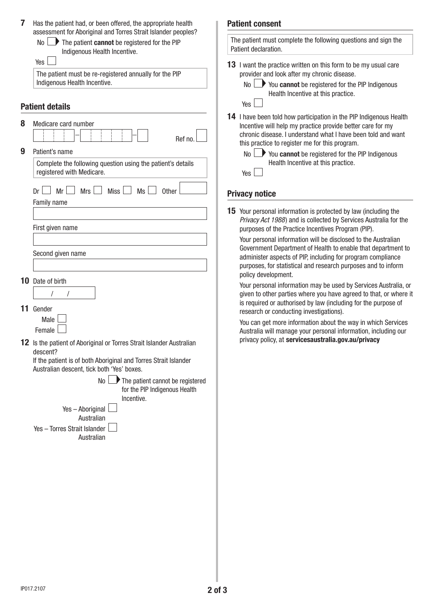| 7 | Has the patient had, or been offered, the appropriate health                                                                                        | <b>Patient consent</b>                                                                                                                  |
|---|-----------------------------------------------------------------------------------------------------------------------------------------------------|-----------------------------------------------------------------------------------------------------------------------------------------|
|   | assessment for Aboriginal and Torres Strait Islander peoples?<br>No<br>The patient cannot be registered for the PIP<br>Indigenous Health Incentive. | The patient must complete th<br>Patient declaration.                                                                                    |
|   | Yes<br>The patient must be re-registered annually for the PIP<br>Indigenous Health Incentive.                                                       | <b>13</b> I want the practice written<br>provider and look after my<br>$No \rightarrow You$ cannot be<br><b>Health Incentive</b><br>Yes |
|   | <b>Patient details</b>                                                                                                                              | 14 I have been told how parti                                                                                                           |
| 8 | Medicare card number<br>Ref no.                                                                                                                     | Incentive will help my prad<br>chronic disease. I understa<br>this practice to register mo                                              |
| 9 | Patient's name                                                                                                                                      | $No \rightarrow You$ cannot be                                                                                                          |
|   | Complete the following question using the patient's details<br>registered with Medicare.                                                            | <b>Health Incentive</b><br>Yes                                                                                                          |
|   | Mr<br><b>Miss</b><br>Mrs<br>Ms l<br>Dr<br>Other                                                                                                     | <b>Privacy notice</b>                                                                                                                   |
|   | Family name                                                                                                                                         |                                                                                                                                         |
|   | First given name                                                                                                                                    | <b>15</b> Your personal information<br>Privacy Act 1988) and is c<br>purposes of the Practice In                                        |
|   | Second given name                                                                                                                                   | Your personal information<br>Government Department o<br>administer aspects of PIP,                                                      |
|   |                                                                                                                                                     | purposes, for statistical ar<br>policy development.                                                                                     |
|   | <b>10</b> Date of birth                                                                                                                             | Your personal information                                                                                                               |
|   |                                                                                                                                                     | given to other parties whe                                                                                                              |
|   | 11 Gender                                                                                                                                           | is required or authorised b<br>research or conducting inv                                                                               |
|   | Male                                                                                                                                                | You can get more informat                                                                                                               |
|   | Female                                                                                                                                              | Australia will manage you<br>privacy policy, at services                                                                                |
|   | 12 Is the patient of Aboriginal or Torres Strait Islander Australian<br>descent?                                                                    |                                                                                                                                         |
|   | If the patient is of both Aboriginal and Torres Strait Islander<br>Australian descent, tick both 'Yes' boxes.                                       |                                                                                                                                         |
|   | No<br>$\rightarrow$ The patient cannot be registered<br>for the PIP Indigenous Health<br>Incentive.                                                 |                                                                                                                                         |
|   | Yes - Aboriginal                                                                                                                                    |                                                                                                                                         |
|   | Australian                                                                                                                                          |                                                                                                                                         |
|   | Yes - Torres Strait Islander<br>Australian                                                                                                          |                                                                                                                                         |
|   |                                                                                                                                                     |                                                                                                                                         |
|   |                                                                                                                                                     |                                                                                                                                         |
|   |                                                                                                                                                     |                                                                                                                                         |
|   |                                                                                                                                                     |                                                                                                                                         |
|   |                                                                                                                                                     |                                                                                                                                         |
|   |                                                                                                                                                     |                                                                                                                                         |

| The patient must complete the following questions and sign the |  |
|----------------------------------------------------------------|--|
| Patient declaration.                                           |  |
|                                                                |  |

| 13 I want the practice written on this form to be my usual care |
|-----------------------------------------------------------------|
| provider and look after my chronic disease.                     |

registered for the PIP Indigenous e at this practice.

icipation in the PIP Indigenous Health ctice provide better care for my and what I have been told and want e for this program.

| $No$ $\rightarrow$ You cannot be registered for the PIP Indigenous |  |
|--------------------------------------------------------------------|--|
| Health Incentive at this practice.                                 |  |

is protected by law (including the *Privacy Act 1988*) and is collected by Services Australia for the ncentives Program (PIP).

will be disclosed to the Australian of Health to enable that department to including for program compliance nd research purposes and to inform

may be used by Services Australia, or re you have agreed to that, or where it by law (including for the purpose of vestigations).

tion about the way in which Services r personal information, including our privacy policy, at www.servicesaustralia.gov.au/privacy